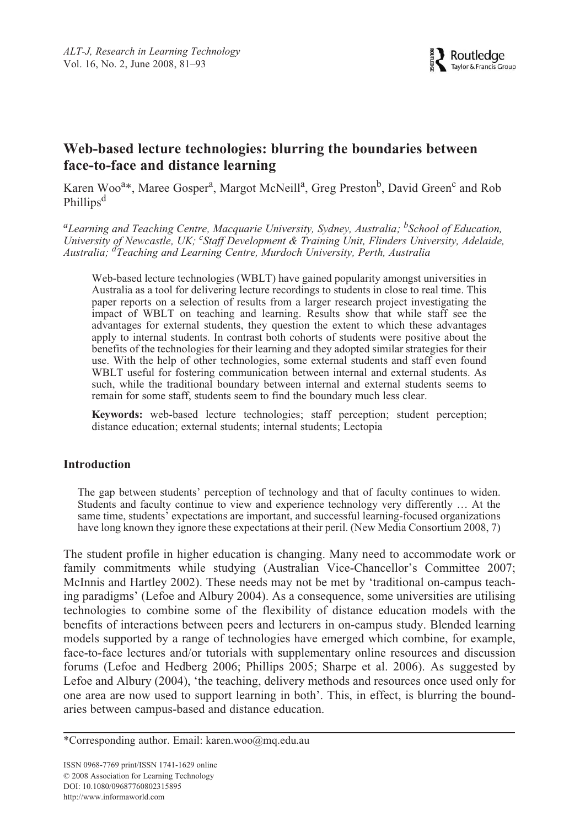# **Web-based lecture technologies: blurring the boundaries between face-to-face and distance learning**

Karen Woo<sup>a</sup>\*, Maree Gosper<sup>a</sup>, Margot McNeill<sup>a</sup>, Greg Preston<sup>b</sup>, David Green<sup>c</sup> and Rob Phillips<sup>d</sup>

<sup>a</sup>Learning and Teaching Centre, Macquarie University, Sydney, Australia; <sup>b</sup>School of Education, *University of Newcastle, UK; <sup>c</sup> Staff Development & Training Unit, Flinders University, Adelaide, Australia; <sup>d</sup> Teaching and Learning Centre, Murdoch University, Perth, Australia*

Web-based lecture technologies (WBLT) have gained popularity amongst universities in Australia as a tool for delivering lecture recordings to students in close to real time. This paper reports on a selection of results from a larger research project investigating the impact of WBLT on teaching and learning. Results show that while staff see the advantages for external students, they question the extent to which these advantages apply to internal students. In contrast both cohorts of students were positive about the benefits of the technologies for their learning and they adopted similar strategies for their use. With the help of other technologies, some external students and staff even found WBLT useful for fostering communication between internal and external students. As such, while the traditional boundary between internal and external students seems to remain for some staff, students seem to find the boundary much less clear.

**Keywords:** web-based lecture technologies; staff perception; student perception; distance education; external students; internal students; Lectopia

# **Introduction**

The gap between students' perception of technology and that of faculty continues to widen. Students and faculty continue to view and experience technology very differently … At the same time, students' expectations are important, and successful learning-focused organizations have long known they ignore these expectations at their peril. (New Media Consortium 2008, 7)

The student profile in higher education is changing. Many need to accommodate work or family commitments while studying (Australian Vice-Chancellor's Committee 2007; McInnis and Hartley 2002). These needs may not be met by 'traditional on-campus teaching paradigms' (Lefoe and Albury 2004). As a consequence, some universities are utilising technologies to combine some of the flexibility of distance education models with the benefits of interactions between peers and lecturers in on-campus study. Blended learning models supported by a range of technologies have emerged which combine, for example, face-to-face lectures and/or tutorials with supplementary online resources and discussion forums (Lefoe and Hedberg 2006; Phillips 2005; Sharpe et al. 2006). As suggested by Lefoe and Albury (2004), 'the teaching, delivery methods and resources once used only for one area are now used to support learning in both'. This, in effect, is blurring the boundaries between campus-based and distance education.

<sup>\*</sup>Corresponding author. Email: karen.woo@mq.edu.au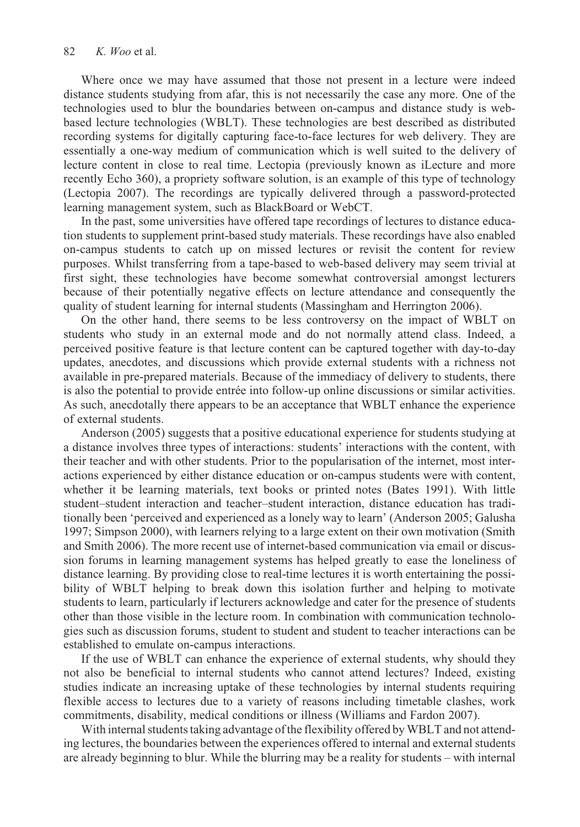Where once we may have assumed that those not present in a lecture were indeed distance students studying from afar, this is not necessarily the case any more. One of the technologies used to blur the boundaries between on-campus and distance study is webbased lecture technologies (WBLT). These technologies are best described as distributed recording systems for digitally capturing face-to-face lectures for web delivery. They are essentially a one-way medium of communication which is well suited to the delivery of lecture content in close to real time. Lectopia (previously known as iLecture and more recently Echo 360), a propriety software solution, is an example of this type of technology (Lectopia 2007). The recordings are typically delivered through a password-protected learning management system, such as BlackBoard or WebCT.

In the past, some universities have offered tape recordings of lectures to distance education students to supplement print-based study materials. These recordings have also enabled on-campus students to catch up on missed lectures or revisit the content for review purposes. Whilst transferring from a tape-based to web-based delivery may seem trivial at first sight, these technologies have become somewhat controversial amongst lecturers because of their potentially negative effects on lecture attendance and consequently the quality of student learning for internal students (Massingham and Herrington 2006).

On the other hand, there seems to be less controversy on the impact of WBLT on students who study in an external mode and do not normally attend class. Indeed, a perceived positive feature is that lecture content can be captured together with day-to-day updates, anecdotes, and discussions which provide external students with a richness not available in pre-prepared materials. Because of the immediacy of delivery to students, there is also the potential to provide entrée into follow-up online discussions or similar activities. As such, anecdotally there appears to be an acceptance that WBLT enhance the experience of external students.

Anderson (2005) suggests that a positive educational experience for students studying at a distance involves three types of interactions: students' interactions with the content, with their teacher and with other students. Prior to the popularisation of the internet, most interactions experienced by either distance education or on-campus students were with content, whether it be learning materials, text books or printed notes (Bates 1991). With little student–student interaction and teacher–student interaction, distance education has traditionally been 'perceived and experienced as a lonely way to learn' (Anderson 2005; Galusha 1997; Simpson 2000), with learners relying to a large extent on their own motivation (Smith and Smith 2006). The more recent use of internet-based communication via email or discussion forums in learning management systems has helped greatly to ease the loneliness of distance learning. By providing close to real-time lectures it is worth entertaining the possibility of WBLT helping to break down this isolation further and helping to motivate students to learn, particularly if lecturers acknowledge and cater for the presence of students other than those visible in the lecture room. In combination with communication technologies such as discussion forums, student to student and student to teacher interactions can be established to emulate on-campus interactions.

If the use of WBLT can enhance the experience of external students, why should they not also be beneficial to internal students who cannot attend lectures? Indeed, existing studies indicate an increasing uptake of these technologies by internal students requiring flexible access to lectures due to a variety of reasons including timetable clashes, work commitments, disability, medical conditions or illness (Williams and Fardon 2007).

With internal students taking advantage of the flexibility offered by WBLT and not attending lectures, the boundaries between the experiences offered to internal and external students are already beginning to blur. While the blurring may be a reality for students – with internal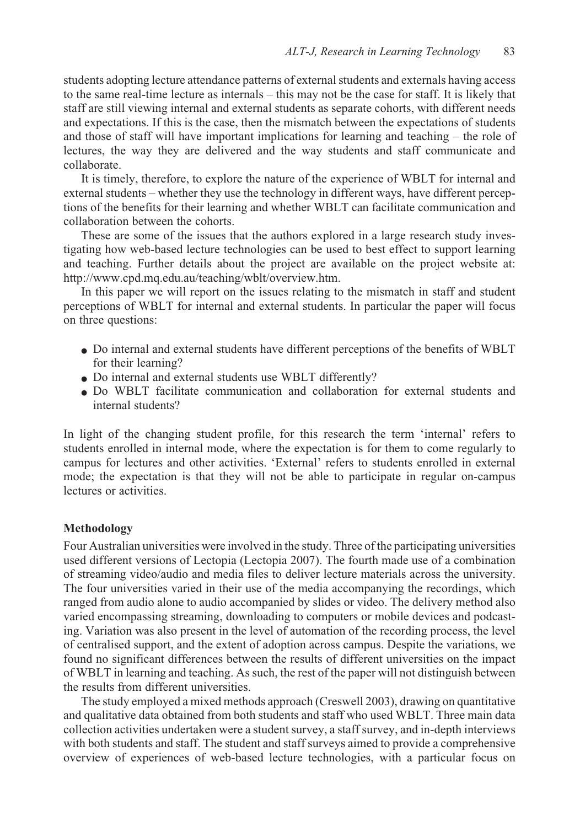students adopting lecture attendance patterns of external students and externals having access to the same real-time lecture as internals – this may not be the case for staff. It is likely that staff are still viewing internal and external students as separate cohorts, with different needs and expectations. If this is the case, then the mismatch between the expectations of students and those of staff will have important implications for learning and teaching – the role of lectures, the way they are delivered and the way students and staff communicate and collaborate.

It is timely, therefore, to explore the nature of the experience of WBLT for internal and external students – whether they use the technology in different ways, have different perceptions of the benefits for their learning and whether WBLT can facilitate communication and collaboration between the cohorts.

These are some of the issues that the authors explored in a large research study investigating how web-based lecture technologies can be used to best effect to support learning and teaching. Further details about the project are available on the project website at: http://www.cpd.mq.edu.au/teaching/wblt/overview.htm.

In this paper we will report on the issues relating to the mismatch in staff and student perceptions of WBLT for internal and external students. In particular the paper will focus on three questions:

- Do internal and external students have different perceptions of the benefits of WBLT for their learning?
- Do internal and external students use WBLT differently?
- Do WBLT facilitate communication and collaboration for external students and internal students?

In light of the changing student profile, for this research the term 'internal' refers to students enrolled in internal mode, where the expectation is for them to come regularly to campus for lectures and other activities. 'External' refers to students enrolled in external mode; the expectation is that they will not be able to participate in regular on-campus lectures or activities.

## **Methodology**

Four Australian universities were involved in the study. Three of the participating universities used different versions of Lectopia (Lectopia 2007). The fourth made use of a combination of streaming video/audio and media files to deliver lecture materials across the university. The four universities varied in their use of the media accompanying the recordings, which ranged from audio alone to audio accompanied by slides or video. The delivery method also varied encompassing streaming, downloading to computers or mobile devices and podcasting. Variation was also present in the level of automation of the recording process, the level of centralised support, and the extent of adoption across campus. Despite the variations, we found no significant differences between the results of different universities on the impact of WBLT in learning and teaching. As such, the rest of the paper will not distinguish between the results from different universities.

The study employed a mixed methods approach (Creswell 2003), drawing on quantitative and qualitative data obtained from both students and staff who used WBLT. Three main data collection activities undertaken were a student survey, a staff survey, and in-depth interviews with both students and staff. The student and staff surveys aimed to provide a comprehensive overview of experiences of web-based lecture technologies, with a particular focus on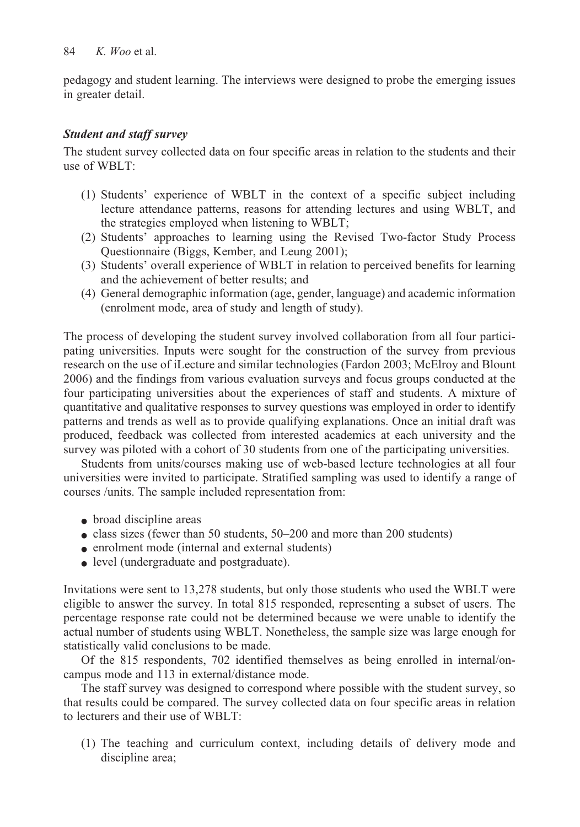pedagogy and student learning. The interviews were designed to probe the emerging issues in greater detail.

# *Student and staff survey*

The student survey collected data on four specific areas in relation to the students and their use of WBLT:

- (1) Students' experience of WBLT in the context of a specific subject including lecture attendance patterns, reasons for attending lectures and using WBLT, and the strategies employed when listening to WBLT;
- (2) Students' approaches to learning using the Revised Two-factor Study Process Questionnaire (Biggs, Kember, and Leung 2001);
- (3) Students' overall experience of WBLT in relation to perceived benefits for learning and the achievement of better results; and
- (4) General demographic information (age, gender, language) and academic information (enrolment mode, area of study and length of study).

The process of developing the student survey involved collaboration from all four participating universities. Inputs were sought for the construction of the survey from previous research on the use of iLecture and similar technologies (Fardon 2003; McElroy and Blount 2006) and the findings from various evaluation surveys and focus groups conducted at the four participating universities about the experiences of staff and students. A mixture of quantitative and qualitative responses to survey questions was employed in order to identify patterns and trends as well as to provide qualifying explanations. Once an initial draft was produced, feedback was collected from interested academics at each university and the survey was piloted with a cohort of 30 students from one of the participating universities.

Students from units/courses making use of web-based lecture technologies at all four universities were invited to participate. Stratified sampling was used to identify a range of courses /units. The sample included representation from:

- broad discipline areas
- class sizes (fewer than 50 students, 50–200 and more than 200 students)
- enrolment mode (internal and external students)
- level (undergraduate and postgraduate).

Invitations were sent to 13,278 students, but only those students who used the WBLT were eligible to answer the survey. In total 815 responded, representing a subset of users. The percentage response rate could not be determined because we were unable to identify the actual number of students using WBLT. Nonetheless, the sample size was large enough for statistically valid conclusions to be made.

Of the 815 respondents, 702 identified themselves as being enrolled in internal/oncampus mode and 113 in external/distance mode.

The staff survey was designed to correspond where possible with the student survey, so that results could be compared. The survey collected data on four specific areas in relation to lecturers and their use of WBLT:

(1) The teaching and curriculum context, including details of delivery mode and discipline area;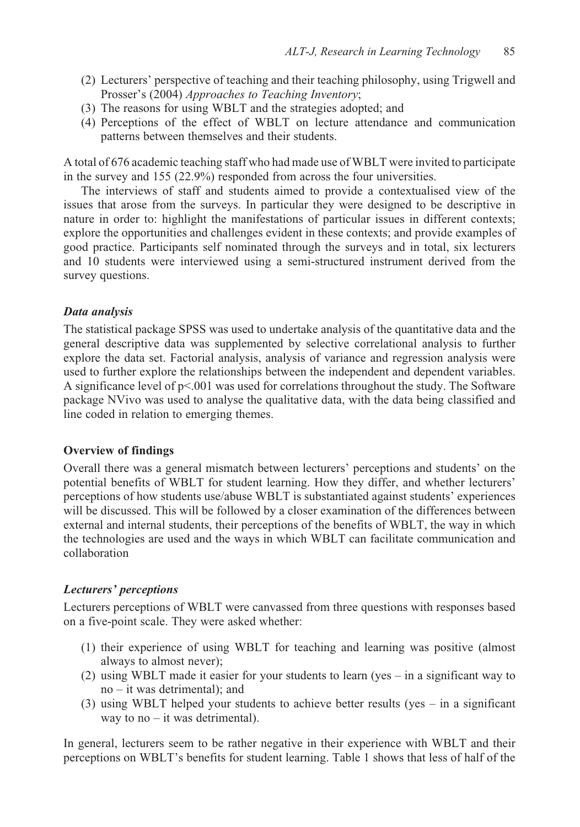- (2) Lecturers' perspective of teaching and their teaching philosophy, using Trigwell and Prosser's (2004) *Approaches to Teaching Inventory*;
- (3) The reasons for using WBLT and the strategies adopted; and
- (4) Perceptions of the effect of WBLT on lecture attendance and communication patterns between themselves and their students.

A total of 676 academic teaching staff who had made use of WBLT were invited to participate in the survey and 155 (22.9%) responded from across the four universities.

The interviews of staff and students aimed to provide a contextualised view of the issues that arose from the surveys. In particular they were designed to be descriptive in nature in order to: highlight the manifestations of particular issues in different contexts; explore the opportunities and challenges evident in these contexts; and provide examples of good practice. Participants self nominated through the surveys and in total, six lecturers and 10 students were interviewed using a semi-structured instrument derived from the survey questions.

## *Data analysis*

The statistical package SPSS was used to undertake analysis of the quantitative data and the general descriptive data was supplemented by selective correlational analysis to further explore the data set. Factorial analysis, analysis of variance and regression analysis were used to further explore the relationships between the independent and dependent variables. A significance level of p<.001 was used for correlations throughout the study. The Software package NVivo was used to analyse the qualitative data, with the data being classified and line coded in relation to emerging themes.

## **Overview of findings**

Overall there was a general mismatch between lecturers' perceptions and students' on the potential benefits of WBLT for student learning. How they differ, and whether lecturers' perceptions of how students use/abuse WBLT is substantiated against students' experiences will be discussed. This will be followed by a closer examination of the differences between external and internal students, their perceptions of the benefits of WBLT, the way in which the technologies are used and the ways in which WBLT can facilitate communication and collaboration

## *Lecturers' perceptions*

Lecturers perceptions of WBLT were canvassed from three questions with responses based on a five-point scale. They were asked whether:

- (1) their experience of using WBLT for teaching and learning was positive (almost always to almost never);
- (2) using WBLT made it easier for your students to learn (yes in a significant way to no – it was detrimental); and
- (3) using WBLT helped your students to achieve better results (yes in a significant way to no  $-$  it was detrimental).

In general, lecturers seem to be rather negative in their experience with WBLT and their perceptions on WBLT's benefits for student learning. Table 1 shows that less of half of the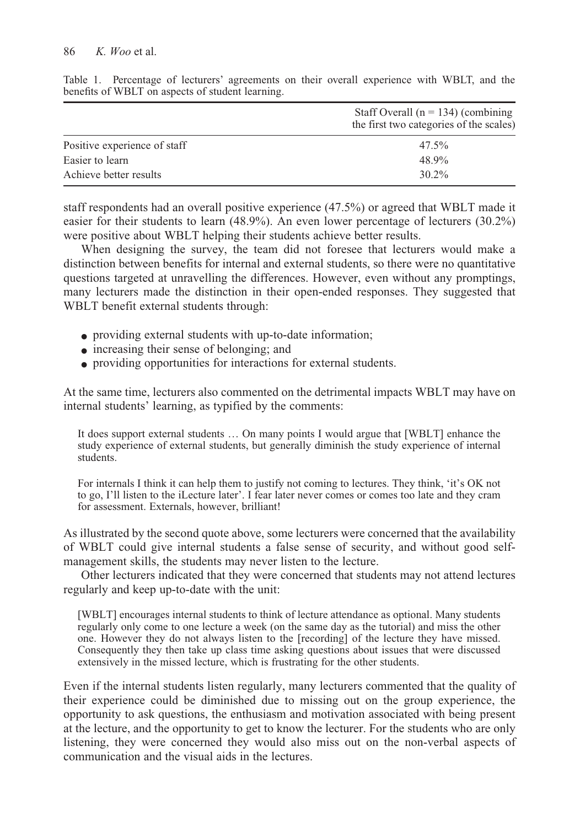|                              | Staff Overall ( $n = 134$ ) (combining<br>the first two categories of the scales) |
|------------------------------|-----------------------------------------------------------------------------------|
| Positive experience of staff | $47.5\%$                                                                          |
| Easier to learn              | 48.9%                                                                             |
| Achieve better results       | 30.2%                                                                             |

Table 1. Percentage of lecturers' agreements on their overall experience with WBLT, and the benefits of WBLT on aspects of student learning.

staff respondents had an overall positive experience (47.5%) or agreed that WBLT made it easier for their students to learn (48.9%). An even lower percentage of lecturers (30.2%) were positive about WBLT helping their students achieve better results.

When designing the survey, the team did not foresee that lecturers would make a distinction between benefits for internal and external students, so there were no quantitative questions targeted at unravelling the differences. However, even without any promptings, many lecturers made the distinction in their open-ended responses. They suggested that WBLT benefit external students through:

- providing external students with up-to-date information;
- increasing their sense of belonging; and
- providing opportunities for interactions for external students.

At the same time, lecturers also commented on the detrimental impacts WBLT may have on internal students' learning, as typified by the comments:

It does support external students … On many points I would argue that [WBLT] enhance the study experience of external students, but generally diminish the study experience of internal students.

For internals I think it can help them to justify not coming to lectures. They think, 'it's OK not to go, I'll listen to the iLecture later'. I fear later never comes or comes too late and they cram for assessment. Externals, however, brilliant!

As illustrated by the second quote above, some lecturers were concerned that the availability of WBLT could give internal students a false sense of security, and without good selfmanagement skills, the students may never listen to the lecture.

Other lecturers indicated that they were concerned that students may not attend lectures regularly and keep up-to-date with the unit:

[WBLT] encourages internal students to think of lecture attendance as optional. Many students regularly only come to one lecture a week (on the same day as the tutorial) and miss the other one. However they do not always listen to the [recording] of the lecture they have missed. Consequently they then take up class time asking questions about issues that were discussed extensively in the missed lecture, which is frustrating for the other students.

Even if the internal students listen regularly, many lecturers commented that the quality of their experience could be diminished due to missing out on the group experience, the opportunity to ask questions, the enthusiasm and motivation associated with being present at the lecture, and the opportunity to get to know the lecturer. For the students who are only listening, they were concerned they would also miss out on the non-verbal aspects of communication and the visual aids in the lectures.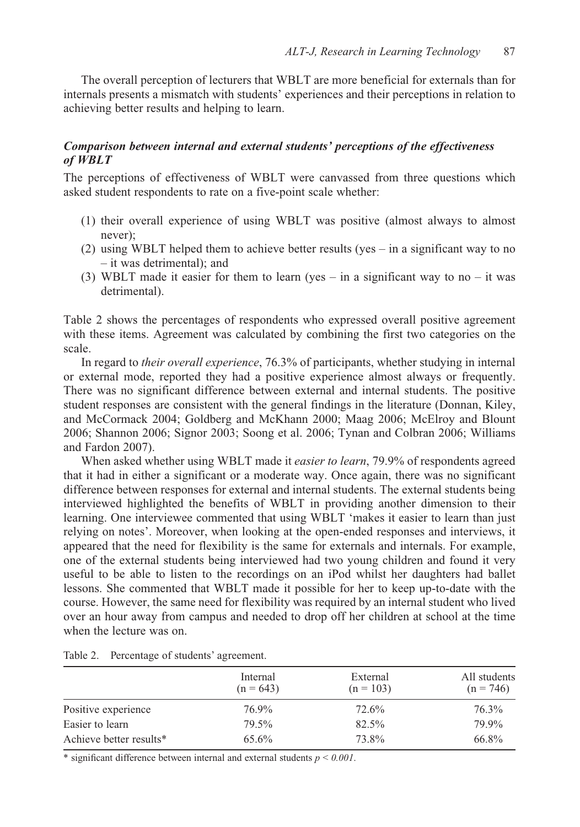The overall perception of lecturers that WBLT are more beneficial for externals than for internals presents a mismatch with students' experiences and their perceptions in relation to achieving better results and helping to learn.

# *Comparison between internal and external students' perceptions of the effectiveness of WBLT*

The perceptions of effectiveness of WBLT were canvassed from three questions which asked student respondents to rate on a five-point scale whether:

- (1) their overall experience of using WBLT was positive (almost always to almost never);
- (2) using WBLT helped them to achieve better results (yes in a significant way to no – it was detrimental); and
- (3) WBLT made it easier for them to learn (yes in a significant way to no it was detrimental).

Table 2 shows the percentages of respondents who expressed overall positive agreement with these items. Agreement was calculated by combining the first two categories on the scale.

In regard to *their overall experience*, 76.3% of participants, whether studying in internal or external mode, reported they had a positive experience almost always or frequently. There was no significant difference between external and internal students. The positive student responses are consistent with the general findings in the literature (Donnan, Kiley, and McCormack 2004; Goldberg and McKhann 2000; Maag 2006; McElroy and Blount 2006; Shannon 2006; Signor 2003; Soong et al. 2006; Tynan and Colbran 2006; Williams and Fardon 2007).

When asked whether using WBLT made it *easier to learn*, 79.9% of respondents agreed that it had in either a significant or a moderate way. Once again, there was no significant difference between responses for external and internal students. The external students being interviewed highlighted the benefits of WBLT in providing another dimension to their learning. One interviewee commented that using WBLT 'makes it easier to learn than just relying on notes'. Moreover, when looking at the open-ended responses and interviews, it appeared that the need for flexibility is the same for externals and internals. For example, one of the external students being interviewed had two young children and found it very useful to be able to listen to the recordings on an iPod whilst her daughters had ballet lessons. She commented that WBLT made it possible for her to keep up-to-date with the course. However, the same need for flexibility was required by an internal student who lived over an hour away from campus and needed to drop off her children at school at the time when the lecture was on.

|                         | Internal<br>$(n = 643)$ | External<br>$(n = 103)$ | All students<br>$(n = 746)$ |
|-------------------------|-------------------------|-------------------------|-----------------------------|
| Positive experience     | 76.9%                   | 72.6%                   | 76.3%                       |
| Easier to learn         | 79.5%                   | 82.5%                   | 79.9%                       |
| Achieve better results* | 65.6%                   | 73.8%                   | 66.8%                       |

Table 2. Percentage of students' agreement.

\* significant difference between internal and external students *p* < *0.001*.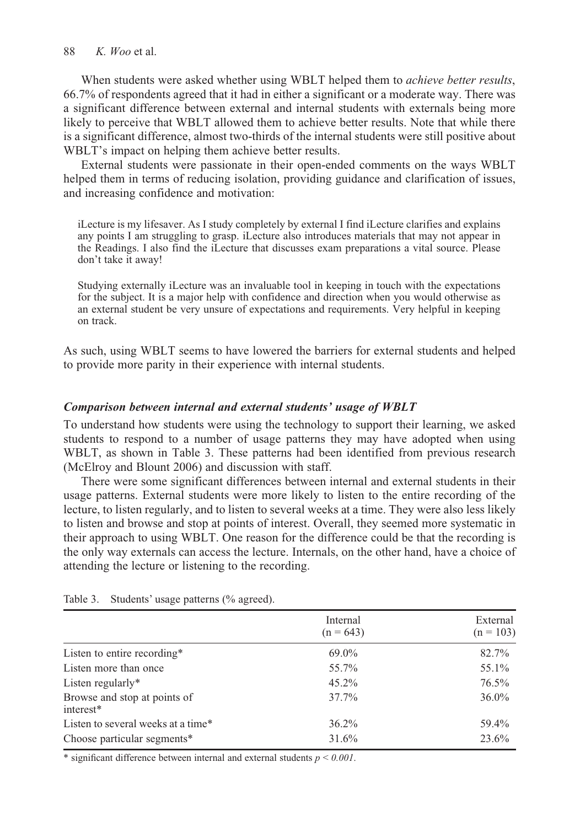When students were asked whether using WBLT helped them to *achieve better results*, 66.7% of respondents agreed that it had in either a significant or a moderate way. There was a significant difference between external and internal students with externals being more likely to perceive that WBLT allowed them to achieve better results. Note that while there is a significant difference, almost two-thirds of the internal students were still positive about WBLT's impact on helping them achieve better results.

External students were passionate in their open-ended comments on the ways WBLT helped them in terms of reducing isolation, providing guidance and clarification of issues, and increasing confidence and motivation:

iLecture is my lifesaver. As I study completely by external I find iLecture clarifies and explains any points I am struggling to grasp. iLecture also introduces materials that may not appear in the Readings. I also find the iLecture that discusses exam preparations a vital source. Please don't take it away!

Studying externally iLecture was an invaluable tool in keeping in touch with the expectations for the subject. It is a major help with confidence and direction when you would otherwise as an external student be very unsure of expectations and requirements. Very helpful in keeping on track.

As such, using WBLT seems to have lowered the barriers for external students and helped to provide more parity in their experience with internal students.

# *Comparison between internal and external students' usage of WBLT*

To understand how students were using the technology to support their learning, we asked students to respond to a number of usage patterns they may have adopted when using WBLT, as shown in Table 3. These patterns had been identified from previous research (McElroy and Blount 2006) and discussion with staff.

There were some significant differences between internal and external students in their usage patterns. External students were more likely to listen to the entire recording of the lecture, to listen regularly, and to listen to several weeks at a time. They were also less likely to listen and browse and stop at points of interest. Overall, they seemed more systematic in their approach to using WBLT. One reason for the difference could be that the recording is the only way externals can access the lecture. Internals, on the other hand, have a choice of attending the lecture or listening to the recording.

|                                           | Internal<br>$(n = 643)$ | External<br>$(n = 103)$ |
|-------------------------------------------|-------------------------|-------------------------|
| Listen to entire recording*               | 69.0%                   | 82.7%                   |
| Listen more than once                     | 55.7%                   | 55.1%                   |
| Listen regularly $*$                      | $45.2\%$                | 76.5%                   |
| Browse and stop at points of<br>interest* | 37.7%                   | $36.0\%$                |
| Listen to several weeks at a time*        | $36.2\%$                | 59.4%                   |
| Choose particular segments*               | 31.6%                   | 23.6%                   |

Table 3. Students' usage patterns (% agreed).

\* significant difference between internal and external students *p* < *0.001*.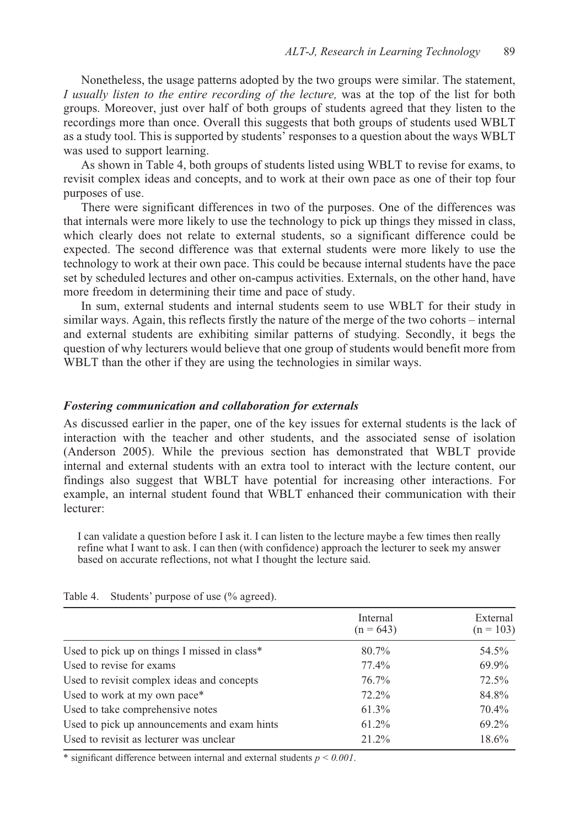Nonetheless, the usage patterns adopted by the two groups were similar. The statement, *I usually listen to the entire recording of the lecture,* was at the top of the list for both groups. Moreover, just over half of both groups of students agreed that they listen to the recordings more than once. Overall this suggests that both groups of students used WBLT as a study tool. This is supported by students' responses to a question about the ways WBLT was used to support learning.

As shown in Table 4, both groups of students listed using WBLT to revise for exams, to revisit complex ideas and concepts, and to work at their own pace as one of their top four purposes of use.

There were significant differences in two of the purposes. One of the differences was that internals were more likely to use the technology to pick up things they missed in class, which clearly does not relate to external students, so a significant difference could be expected. The second difference was that external students were more likely to use the technology to work at their own pace. This could be because internal students have the pace set by scheduled lectures and other on-campus activities. Externals, on the other hand, have more freedom in determining their time and pace of study.

In sum, external students and internal students seem to use WBLT for their study in similar ways. Again, this reflects firstly the nature of the merge of the two cohorts – internal and external students are exhibiting similar patterns of studying. Secondly, it begs the question of why lecturers would believe that one group of students would benefit more from WBLT than the other if they are using the technologies in similar ways.

## *Fostering communication and collaboration for externals*

As discussed earlier in the paper, one of the key issues for external students is the lack of interaction with the teacher and other students, and the associated sense of isolation (Anderson 2005). While the previous section has demonstrated that WBLT provide internal and external students with an extra tool to interact with the lecture content, our findings also suggest that WBLT have potential for increasing other interactions. For example, an internal student found that WBLT enhanced their communication with their lecturer:

I can validate a question before I ask it. I can listen to the lecture maybe a few times then really refine what I want to ask. I can then (with confidence) approach the lecturer to seek my answer based on accurate reflections, not what I thought the lecture said.

| Internal<br>$(n = 643)$ | External<br>$(n = 103)$ |
|-------------------------|-------------------------|
| 80.7%                   | 54.5%                   |
| 77.4%                   | 69.9%                   |
| 76.7%                   | 72.5%                   |
| 72.2%                   | 84.8%                   |
| 61.3%                   | 70.4%                   |
| 61.2%                   | 69.2%                   |
| 21.2%                   | 18.6%                   |
|                         |                         |

Table 4. Students' purpose of use (% agreed).

\* significant difference between internal and external students *p* < *0.001*.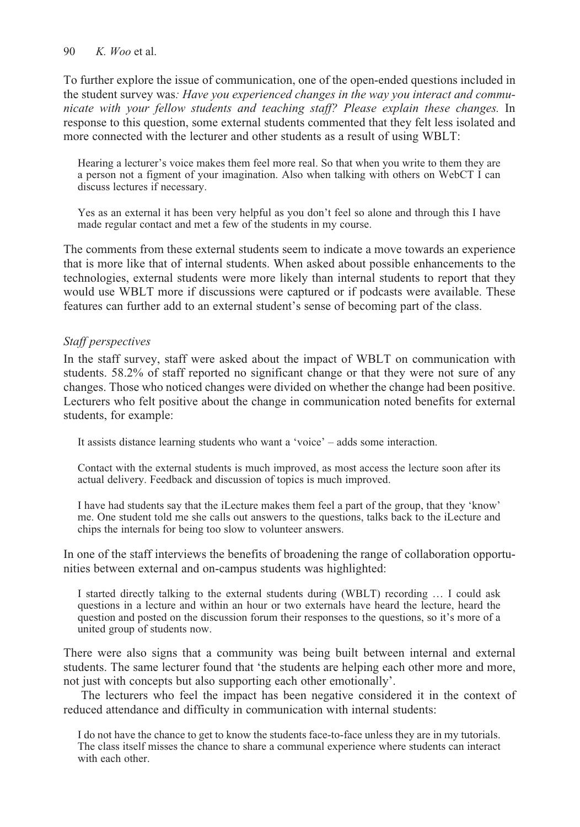To further explore the issue of communication, one of the open-ended questions included in the student survey was*: Have you experienced changes in the way you interact and communicate with your fellow students and teaching staff? Please explain these changes.* In response to this question, some external students commented that they felt less isolated and more connected with the lecturer and other students as a result of using WBLT:

Hearing a lecturer's voice makes them feel more real. So that when you write to them they are a person not a figment of your imagination. Also when talking with others on WebCT I can discuss lectures if necessary.

Yes as an external it has been very helpful as you don't feel so alone and through this I have made regular contact and met a few of the students in my course.

The comments from these external students seem to indicate a move towards an experience that is more like that of internal students. When asked about possible enhancements to the technologies, external students were more likely than internal students to report that they would use WBLT more if discussions were captured or if podcasts were available. These features can further add to an external student's sense of becoming part of the class.

## *Staff perspectives*

In the staff survey, staff were asked about the impact of WBLT on communication with students. 58.2% of staff reported no significant change or that they were not sure of any changes. Those who noticed changes were divided on whether the change had been positive. Lecturers who felt positive about the change in communication noted benefits for external students, for example:

It assists distance learning students who want a 'voice' – adds some interaction.

Contact with the external students is much improved, as most access the lecture soon after its actual delivery. Feedback and discussion of topics is much improved.

I have had students say that the iLecture makes them feel a part of the group, that they 'know' me. One student told me she calls out answers to the questions, talks back to the iLecture and chips the internals for being too slow to volunteer answers.

In one of the staff interviews the benefits of broadening the range of collaboration opportunities between external and on-campus students was highlighted:

I started directly talking to the external students during (WBLT) recording … I could ask questions in a lecture and within an hour or two externals have heard the lecture, heard the question and posted on the discussion forum their responses to the questions, so it's more of a united group of students now.

There were also signs that a community was being built between internal and external students. The same lecturer found that 'the students are helping each other more and more, not just with concepts but also supporting each other emotionally'.

The lecturers who feel the impact has been negative considered it in the context of reduced attendance and difficulty in communication with internal students:

I do not have the chance to get to know the students face-to-face unless they are in my tutorials. The class itself misses the chance to share a communal experience where students can interact with each other.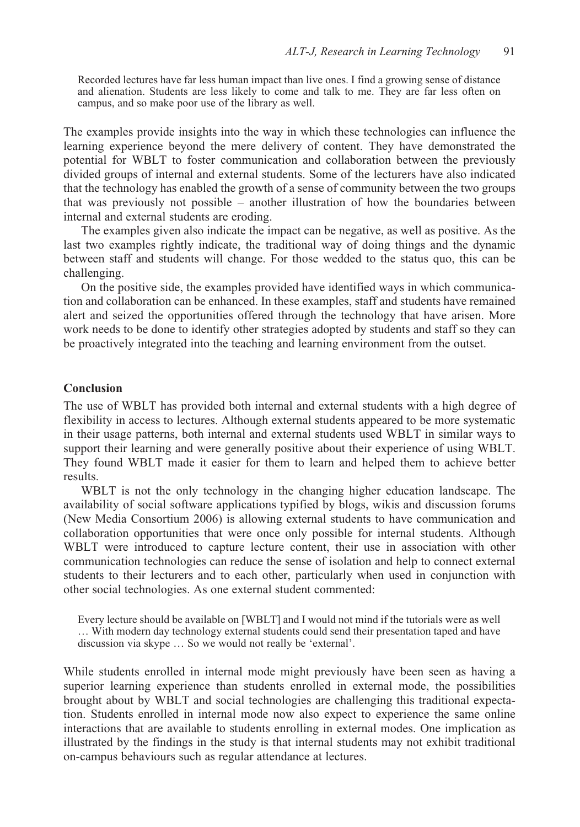Recorded lectures have far less human impact than live ones. I find a growing sense of distance and alienation. Students are less likely to come and talk to me. They are far less often on campus, and so make poor use of the library as well.

The examples provide insights into the way in which these technologies can influence the learning experience beyond the mere delivery of content. They have demonstrated the potential for WBLT to foster communication and collaboration between the previously divided groups of internal and external students. Some of the lecturers have also indicated that the technology has enabled the growth of a sense of community between the two groups that was previously not possible – another illustration of how the boundaries between internal and external students are eroding.

The examples given also indicate the impact can be negative, as well as positive. As the last two examples rightly indicate, the traditional way of doing things and the dynamic between staff and students will change. For those wedded to the status quo, this can be challenging.

On the positive side, the examples provided have identified ways in which communication and collaboration can be enhanced. In these examples, staff and students have remained alert and seized the opportunities offered through the technology that have arisen. More work needs to be done to identify other strategies adopted by students and staff so they can be proactively integrated into the teaching and learning environment from the outset.

#### **Conclusion**

The use of WBLT has provided both internal and external students with a high degree of flexibility in access to lectures. Although external students appeared to be more systematic in their usage patterns, both internal and external students used WBLT in similar ways to support their learning and were generally positive about their experience of using WBLT. They found WBLT made it easier for them to learn and helped them to achieve better results.

WBLT is not the only technology in the changing higher education landscape. The availability of social software applications typified by blogs, wikis and discussion forums (New Media Consortium 2006) is allowing external students to have communication and collaboration opportunities that were once only possible for internal students. Although WBLT were introduced to capture lecture content, their use in association with other communication technologies can reduce the sense of isolation and help to connect external students to their lecturers and to each other, particularly when used in conjunction with other social technologies. As one external student commented:

Every lecture should be available on [WBLT] and I would not mind if the tutorials were as well … With modern day technology external students could send their presentation taped and have discussion via skype … So we would not really be 'external'.

While students enrolled in internal mode might previously have been seen as having a superior learning experience than students enrolled in external mode, the possibilities brought about by WBLT and social technologies are challenging this traditional expectation. Students enrolled in internal mode now also expect to experience the same online interactions that are available to students enrolling in external modes. One implication as illustrated by the findings in the study is that internal students may not exhibit traditional on-campus behaviours such as regular attendance at lectures.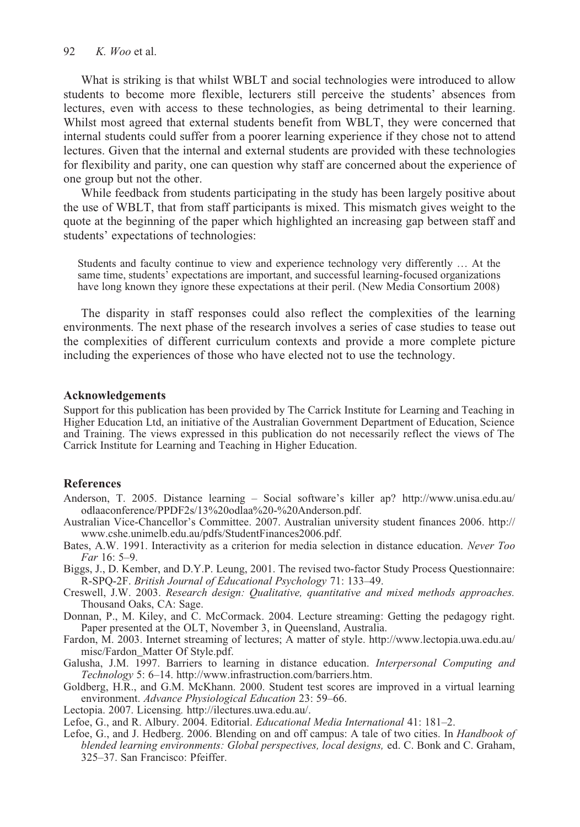What is striking is that whilst WBLT and social technologies were introduced to allow students to become more flexible, lecturers still perceive the students' absences from lectures, even with access to these technologies, as being detrimental to their learning. Whilst most agreed that external students benefit from WBLT, they were concerned that internal students could suffer from a poorer learning experience if they chose not to attend lectures. Given that the internal and external students are provided with these technologies for flexibility and parity, one can question why staff are concerned about the experience of one group but not the other.

While feedback from students participating in the study has been largely positive about the use of WBLT, that from staff participants is mixed. This mismatch gives weight to the quote at the beginning of the paper which highlighted an increasing gap between staff and students' expectations of technologies:

Students and faculty continue to view and experience technology very differently … At the same time, students' expectations are important, and successful learning-focused organizations have long known they ignore these expectations at their peril. (New Media Consortium 2008)

The disparity in staff responses could also reflect the complexities of the learning environments. The next phase of the research involves a series of case studies to tease out the complexities of different curriculum contexts and provide a more complete picture including the experiences of those who have elected not to use the technology.

#### **Acknowledgements**

Support for this publication has been provided by The Carrick Institute for Learning and Teaching in Higher Education Ltd, an initiative of the Australian Government Department of Education, Science and Training. The views expressed in this publication do not necessarily reflect the views of The Carrick Institute for Learning and Teaching in Higher Education.

#### **References**

- Anderson, T. 2005. Distance learning Social software's killer ap? http://www.unisa.edu.au/ odlaaconference/PPDF2s/13%20odlaa%20-%20Anderson.pdf.
- Australian Vice-Chancellor's Committee. 2007. Australian university student finances 2006. http:// www.cshe.unimelb.edu.au/pdfs/StudentFinances2006.pdf.
- Bates, A.W. 1991. Interactivity as a criterion for media selection in distance education. *Never Too Far* 16: 5–9.
- Biggs, J., D. Kember, and D.Y.P. Leung, 2001. The revised two-factor Study Process Questionnaire: R-SPQ-2F. *British Journal of Educational Psychology* 71: 133–49.
- Creswell, J.W. 2003. *Research design: Qualitative, quantitative and mixed methods approaches.* Thousand Oaks, CA: Sage.

Donnan, P., M. Kiley, and C. McCormack. 2004. Lecture streaming: Getting the pedagogy right. Paper presented at the OLT, November 3, in Queensland, Australia.

- Fardon, M. 2003. Internet streaming of lectures; A matter of style. http://www.lectopia.uwa.edu.au/ misc/Fardon\_Matter Of Style.pdf.
- Galusha, J.M. 1997. Barriers to learning in distance education. *Interpersonal Computing and Technology* 5: 6–14. http://www.infrastruction.com/barriers.htm.
- Goldberg, H.R., and G.M. McKhann. 2000. Student test scores are improved in a virtual learning environment. *Advance Physiological Education* 23: 59–66.

Lectopia. 2007. Licensing*.* http://ilectures.uwa.edu.au/.

- Lefoe, G., and R. Albury. 2004. Editorial. *Educational Media International* 41: 181–2.
- Lefoe, G., and J. Hedberg. 2006. Blending on and off campus: A tale of two cities. In *Handbook of blended learning environments: Global perspectives, local designs,* ed. C. Bonk and C. Graham, 325–37. San Francisco: Pfeiffer.